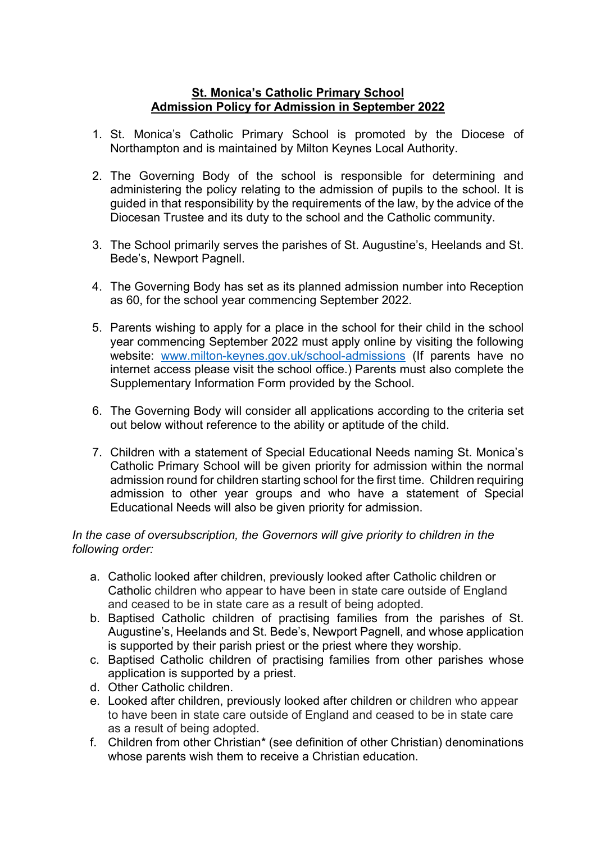## **St. Monica's Catholic Primary School Admission Policy for Admission in September 2022**

- 1. St. Monica's Catholic Primary School is promoted by the Diocese of Northampton and is maintained by Milton Keynes Local Authority.
- 2. The Governing Body of the school is responsible for determining and administering the policy relating to the admission of pupils to the school. It is guided in that responsibility by the requirements of the law, by the advice of the Diocesan Trustee and its duty to the school and the Catholic community.
- 3. The School primarily serves the parishes of St. Augustine's, Heelands and St. Bede's, Newport Pagnell.
- 4. The Governing Body has set as its planned admission number into Reception as 60, for the school year commencing September 2022.
- 5. Parents wishing to apply for a place in the school for their child in the school year commencing September 2022 must apply online by visiting the following website: [www.milton-keynes.gov.uk/school-admissions](http://www.milton-keynes.gov.uk/school-admissions) (If parents have no internet access please visit the school office.) Parents must also complete the Supplementary Information Form provided by the School.
- 6. The Governing Body will consider all applications according to the criteria set out below without reference to the ability or aptitude of the child.
- 7. Children with a statement of Special Educational Needs naming St. Monica's Catholic Primary School will be given priority for admission within the normal admission round for children starting school for the first time. Children requiring admission to other year groups and who have a statement of Special Educational Needs will also be given priority for admission.

## *In the case of oversubscription, the Governors will give priority to children in the following order:*

- a. Catholic looked after children, previously looked after Catholic children or Catholic children who appear to have been in state care outside of England and ceased to be in state care as a result of being adopted.
- b. Baptised Catholic children of practising families from the parishes of St. Augustine's, Heelands and St. Bede's, Newport Pagnell, and whose application is supported by their parish priest or the priest where they worship.
- c. Baptised Catholic children of practising families from other parishes whose application is supported by a priest.
- d. Other Catholic children.
- e. Looked after children, previously looked after children or children who appear to have been in state care outside of England and ceased to be in state care as a result of being adopted.
- f. Children from other Christian\* (see definition of other Christian) denominations whose parents wish them to receive a Christian education.